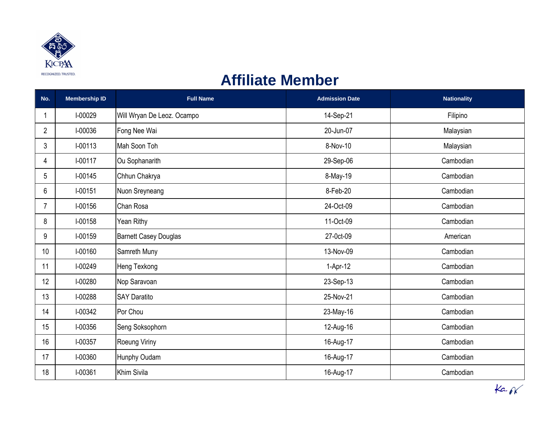

## **Affiliate Member**

| No.            | <b>Membership ID</b> | <b>Full Name</b>             | <b>Admission Date</b> | <b>Nationality</b> |
|----------------|----------------------|------------------------------|-----------------------|--------------------|
| 1              | I-00029              | Will Wryan De Leoz. Ocampo   | 14-Sep-21             | Filipino           |
| $\overline{2}$ | I-00036              | Fong Nee Wai                 | 20-Jun-07             | Malaysian          |
| 3              | I-00113              | Mah Soon Toh                 | 8-Nov-10              | Malaysian          |
| 4              | I-00117              | Ou Sophanarith               | 29-Sep-06             | Cambodian          |
| 5              | I-00145              | Chhun Chakrya                | 8-May-19              | Cambodian          |
| 6              | I-00151              | Nuon Sreyneang               | 8-Feb-20              | Cambodian          |
| 7              | I-00156              | Chan Rosa                    | 24-Oct-09             | Cambodian          |
| 8              | I-00158              | Yean Rithy                   | 11-Oct-09             | Cambodian          |
| 9              | I-00159              | <b>Barnett Casey Douglas</b> | 27-0ct-09             | American           |
| 10             | I-00160              | Samreth Muny                 | 13-Nov-09             | Cambodian          |
| 11             | I-00249              | Heng Texkong                 | 1-Apr-12              | Cambodian          |
| 12             | I-00280              | Nop Saravoan                 | 23-Sep-13             | Cambodian          |
| 13             | I-00288              | <b>SAY Daratito</b>          | 25-Nov-21             | Cambodian          |
| 14             | I-00342              | Por Chou                     | 23-May-16             | Cambodian          |
| 15             | I-00356              | Seng Soksophorn              | 12-Aug-16             | Cambodian          |
| 16             | I-00357              | Roeung Viriny                | 16-Aug-17             | Cambodian          |
| 17             | I-00360              | Hunphy Oudam                 | 16-Aug-17             | Cambodian          |
| 18             | I-00361              | Khim Sivila                  | 16-Aug-17             | Cambodian          |